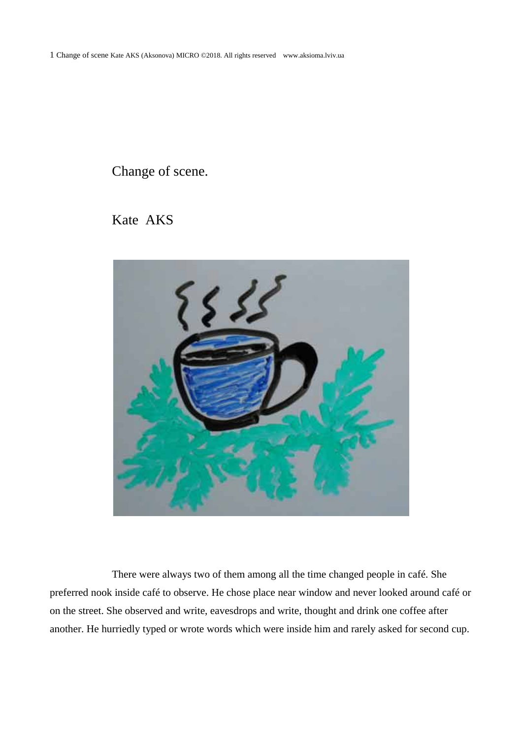## Change of scene.





There were always two of them among all the time changed people in café. She preferred nook inside café to observe. He chose place near window and never looked around café or on the street. She observed and write, eavesdrops and write, thought and drink one coffee after another. He hurriedly typed or wrote words which were inside him and rarely asked for second cup.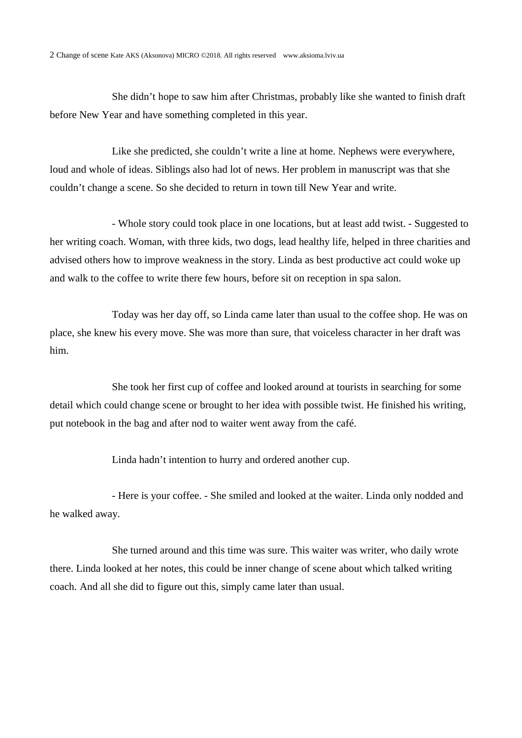She didn't hope to saw him after Christmas, probably like she wanted to finish draft before New Year and have something completed in this year.

Like she predicted, she couldn't write a line at home. Nephews were everywhere, loud and whole of ideas. Siblings also had lot of news. Her problem in manuscript was that she couldn't change a scene. So she decided to return in town till New Year and write.

- Whole story could took place in one locations, but at least add twist. - Suggested to her writing coach. Woman, with three kids, two dogs, lead healthy life, helped in three charities and advised others how to improve weakness in the story. Linda as best productive act could woke up and walk to the coffee to write there few hours, before sit on reception in spa salon.

Today was her day off, so Linda came later than usual to the coffee shop. He was on place, she knew his every move. She was more than sure, that voiceless character in her draft was him.

She took her first cup of coffee and looked around at tourists in searching for some detail which could change scene or brought to her idea with possible twist. He finished his writing, put notebook in the bag and after nod to waiter went away from the café.

Linda hadn't intention to hurry and ordered another cup.

- Here is your coffee. - She smiled and looked at the waiter. Linda only nodded and he walked away.

She turned around and this time was sure. This waiter was writer, who daily wrote there. Linda looked at her notes, this could be inner change of scene about which talked writing coach. And all she did to figure out this, simply came later than usual.